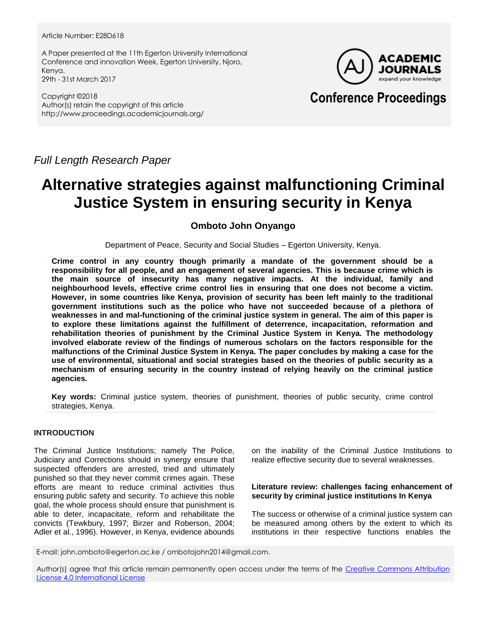#### Article Number: E28D618

A Paper presented at the 11th Egerton University International Conference and innovation Week, Egerton University, Njoro, Kenya. 29th - 31st March 2017

Copyright ©2018 Author(s) retain the copyright of this article http://www.proceedings.academicjournals.org/



## **Conference Proceedings**

*Full Length Research Paper*

# **Alternative strategies against malfunctioning Criminal Justice System in ensuring security in Kenya**

## **Omboto John Onyango**

Department of Peace, Security and Social Studies – Egerton University, Kenya.

**Crime control in any country though primarily a mandate of the government should be a responsibility for all people, and an engagement of several agencies. This is because crime which is the main source of insecurity has many negative impacts. At the individual, family and neighbourhood levels, effective crime control lies in ensuring that one does not become a victim. However, in some countries like Kenya, provision of security has been left mainly to the traditional government institutions such as the police who have not succeeded because of a plethora of weaknesses in and mal-functioning of the criminal justice system in general. The aim of this paper is to explore these limitations against the fulfillment of deterrence, incapacitation, reformation and rehabilitation theories of punishment by the Criminal Justice System in Kenya. The methodology involved elaborate review of the findings of numerous scholars on the factors responsible for the malfunctions of the Criminal Justice System in Kenya. The paper concludes by making a case for the use of environmental, situational and social strategies based on the theories of public security as a mechanism of ensuring security in the country instead of relying heavily on the criminal justice agencies.**

**Key words:** Criminal justice system, theories of punishment, theories of public security, crime control strategies, Kenya.

## **INTRODUCTION**

The Criminal Justice Institutions; namely The Police, Judiciary and Corrections should in synergy ensure that suspected offenders are arrested, tried and ultimately punished so that they never commit crimes again. These efforts are meant to reduce criminal activities thus ensuring public safety and security. To achieve this noble goal, the whole process should ensure that punishment is able to deter, incapacitate, reform and rehabilitate the convicts (Tewkbury, 1997; Birzer and Roberson, 2004; Adler et al., 1996). However, in Kenya, evidence abounds

on the inability of the Criminal Justice Institutions to realize effective security due to several weaknesses.

### **Literature review: challenges facing enhancement of security by criminal justice institutions In Kenya**

The success or otherwise of a criminal justice system can be measured among others by the extent to which its institutions in their respective functions enables the

E-mail: john.omboto@egerton.ac.ke / ombotojohn2014@gmail.com.

Author(s) agree that this article remain permanently open access under the terms of the Creative Commons Attribution [License 4.0 International License](http://creativecommons.org/licenses/by/4.0/deed.en_US)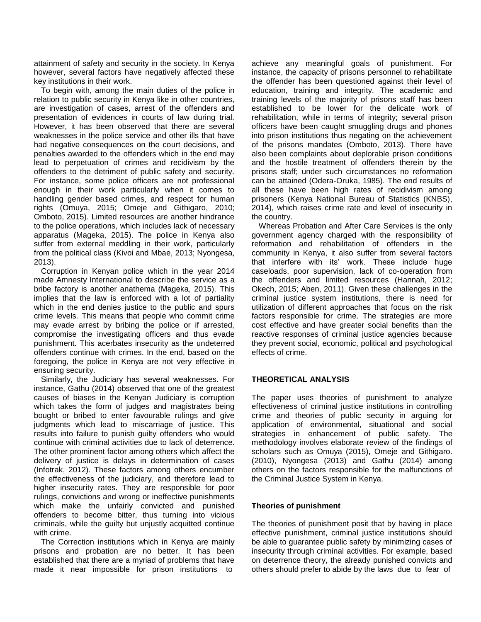attainment of safety and security in the society. In Kenya however, several factors have negatively affected these key institutions in their work.

To begin with, among the main duties of the police in relation to public security in Kenya like in other countries, are investigation of cases, arrest of the offenders and presentation of evidences in courts of law during trial. However, it has been observed that there are several weaknesses in the police service and other ills that have had negative consequences on the court decisions, and penalties awarded to the offenders which in the end may lead to perpetuation of crimes and recidivism by the offenders to the detriment of public safety and security. For instance, some police officers are not professional enough in their work particularly when it comes to handling gender based crimes, and respect for human rights (Omuya, 2015; Omeje and Githigaro, 2010; Omboto, 2015). Limited resources are another hindrance to the police operations, which includes lack of necessary apparatus (Mageka, 2015). The police in Kenya also suffer from external meddling in their work, particularly from the political class (Kivoi and Mbae, 2013; Nyongesa, 2013).

Corruption in Kenyan police which in the year 2014 made Amnesty International to describe the service as a bribe factory is another anathema (Mageka, 2015). This implies that the law is enforced with a lot of partiality which in the end denies justice to the public and spurs crime levels. This means that people who commit crime may evade arrest by bribing the police or if arrested, compromise the investigating officers and thus evade punishment. This acerbates insecurity as the undeterred offenders continue with crimes. In the end, based on the foregoing, the police in Kenya are not very effective in ensuring security.

Similarly, the Judiciary has several weaknesses. For instance, Gathu (2014) observed that one of the greatest causes of biases in the Kenyan Judiciary is corruption which takes the form of judges and magistrates being bought or bribed to enter favourable rulings and give judgments which lead to miscarriage of justice. This results into failure to punish guilty offenders who would continue with criminal activities due to lack of deterrence. The other prominent factor among others which affect the delivery of justice is delays in determination of cases (Infotrak, 2012). These factors among others encumber the effectiveness of the judiciary, and therefore lead to higher insecurity rates. They are responsible for poor rulings, convictions and wrong or ineffective punishments which make the unfairly convicted and punished offenders to become bitter, thus turning into vicious criminals, while the guilty but unjustly acquitted continue with crime.

The Correction institutions which in Kenya are mainly prisons and probation are no better. It has been established that there are a myriad of problems that have made it near impossible for prison institutions to

achieve any meaningful goals of punishment. For instance, the capacity of prisons personnel to rehabilitate the offender has been questioned against their level of education, training and integrity. The academic and training levels of the majority of prisons staff has been established to be lower for the delicate work of rehabilitation, while in terms of integrity; several prison officers have been caught smuggling drugs and phones into prison institutions thus negating on the achievement of the prisons mandates (Omboto, 2013). There have also been complaints about deplorable prison conditions and the hostile treatment of offenders therein by the prisons staff; under such circumstances no reformation can be attained (Odera-Oruka, 1985). The end results of all these have been high rates of recidivism among prisoners (Kenya National Bureau of Statistics (KNBS), 2014), which raises crime rate and level of insecurity in the country.

Whereas Probation and After Care Services is the only government agency charged with the responsibility of reformation and rehabilitation of offenders in the community in Kenya, it also suffer from several factors that interfere with its' work. These include huge caseloads, poor supervision, lack of co-operation from the offenders and limited resources (Hannah, 2012; Okech, 2015; Aben, 2011). Given these challenges in the criminal justice system institutions, there is need for utilization of different approaches that focus on the risk factors responsible for crime. The strategies are more cost effective and have greater social benefits than the reactive responses of criminal justice agencies because they prevent social, economic, political and psychological effects of crime.

## **THEORETICAL ANALYSIS**

The paper uses theories of punishment to analyze effectiveness of criminal justice institutions in controlling crime and theories of public security in arguing for application of environmental, situational and social strategies in enhancement of public safety. The methodology involves elaborate review of the findings of scholars such as Omuya (2015), Omeje and Githigaro. (2010), Nyongesa (2013) and Gathu (2014) among others on the factors responsible for the malfunctions of the Criminal Justice System in Kenya.

#### **Theories of punishment**

The theories of punishment posit that by having in place effective punishment, criminal justice institutions should be able to guarantee public safety by minimizing cases of insecurity through criminal activities. For example, based on deterrence theory, the already punished convicts and others should prefer to abide by the laws due to fear of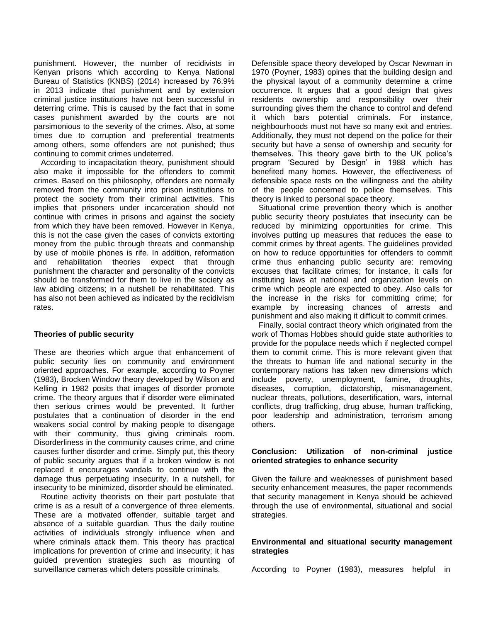punishment. However, the number of recidivists in Kenyan prisons which according to Kenya National Bureau of Statistics (KNBS) (2014) increased by 76.9% in 2013 indicate that punishment and by extension criminal justice institutions have not been successful in deterring crime. This is caused by the fact that in some cases punishment awarded by the courts are not parsimonious to the severity of the crimes. Also, at some times due to corruption and preferential treatments among others, some offenders are not punished; thus continuing to commit crimes undeterred.

According to incapacitation theory, punishment should also make it impossible for the offenders to commit crimes. Based on this philosophy, offenders are normally removed from the community into prison institutions to protect the society from their criminal activities. This implies that prisoners under incarceration should not continue with crimes in prisons and against the society from which they have been removed. However in Kenya, this is not the case given the cases of convicts extorting money from the public through threats and conmanship by use of mobile phones is rife. In addition, reformation and rehabilitation theories expect that through punishment the character and personality of the convicts should be transformed for them to live in the society as law abiding citizens; in a nutshell be rehabilitated. This has also not been achieved as indicated by the recidivism rates.

#### **Theories of public security**

These are theories which argue that enhancement of public security lies on community and environment oriented approaches. For example, according to Poyner (1983), Brocken Window theory developed by Wilson and Kelling in 1982 posits that images of disorder promote crime. The theory argues that if disorder were eliminated then serious crimes would be prevented. It further postulates that a continuation of disorder in the end weakens social control by making people to disengage with their community, thus giving criminals room. Disorderliness in the community causes crime, and crime causes further disorder and crime. Simply put, this theory of public security argues that if a broken window is not replaced it encourages vandals to continue with the damage thus perpetuating insecurity. In a nutshell, for insecurity to be minimized, disorder should be eliminated.

Routine activity theorists on their part postulate that crime is as a result of a convergence of three elements. These are a motivated offender, suitable target and absence of a suitable guardian. Thus the daily routine activities of individuals strongly influence when and where criminals attack them. This theory has practical implications for prevention of crime and insecurity; it has guided prevention strategies such as mounting of surveillance cameras which deters possible criminals.

Defensible space theory developed by Oscar Newman in 1970 (Poyner, 1983) opines that the building design and the physical layout of a community determine a crime occurrence. It argues that a good design that gives residents ownership and responsibility over their surrounding gives them the chance to control and defend it which bars potential criminals. For instance, neighbourhoods must not have so many exit and entries. Additionally, they must not depend on the police for their security but have a sense of ownership and security for themselves. This theory gave birth to the UK police's program 'Secured by Design' in 1988 which has benefited many homes. However, the effectiveness of defensible space rests on the willingness and the ability of the people concerned to police themselves. This theory is linked to personal space theory.

Situational crime prevention theory which is another public security theory postulates that insecurity can be reduced by minimizing opportunities for crime. This involves putting up measures that reduces the ease to commit crimes by threat agents. The guidelines provided on how to reduce opportunities for offenders to commit crime thus enhancing public security are: removing excuses that facilitate crimes; for instance, it calls for instituting laws at national and organization levels on crime which people are expected to obey. Also calls for the increase in the risks for committing crime; for example by increasing chances of arrests and punishment and also making it difficult to commit crimes.

Finally, social contract theory which originated from the work of Thomas Hobbes should guide state authorities to provide for the populace needs which if neglected compel them to commit crime. This is more relevant given that the threats to human life and national security in the contemporary nations has taken new dimensions which include poverty, unemployment, famine, droughts, diseases, corruption, dictatorship, mismanagement, nuclear threats, pollutions, desertification, wars, internal conflicts, drug trafficking, drug abuse, human trafficking, poor leadership and administration, terrorism among others.

## **Conclusion: Utilization of non-criminal justice oriented strategies to enhance security**

Given the failure and weaknesses of punishment based security enhancement measures, the paper recommends that security management in Kenya should be achieved through the use of environmental, situational and social strategies.

### **Environmental and situational security management strategies**

According to Poyner (1983), measures helpful in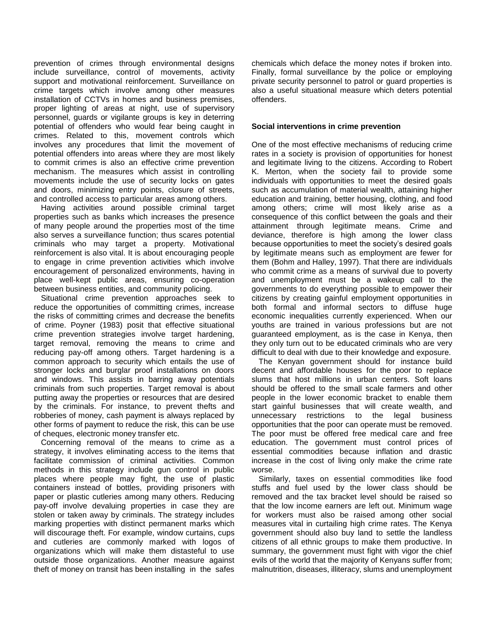prevention of crimes through environmental designs include surveillance, control of movements, activity support and motivational reinforcement. Surveillance on crime targets which involve among other measures installation of CCTVs in homes and business premises, proper lighting of areas at night, use of supervisory personnel, guards or vigilante groups is key in deterring potential of offenders who would fear being caught in crimes. Related to this, movement controls which involves any procedures that limit the movement of potential offenders into areas where they are most likely to commit crimes is also an effective crime prevention mechanism. The measures which assist in controlling movements include the use of security locks on gates and doors, minimizing entry points, closure of streets, and controlled access to particular areas among others.

Having activities around possible criminal target properties such as banks which increases the presence of many people around the properties most of the time also serves a surveillance function; thus scares potential criminals who may target a property. Motivational reinforcement is also vital. It is about encouraging people to engage in crime prevention activities which involve encouragement of personalized environments, having in place well-kept public areas, ensuring co-operation between business entities, and community policing.

Situational crime prevention approaches seek to reduce the opportunities of committing crimes, increase the risks of committing crimes and decrease the benefits of crime. Poyner (1983) posit that effective situational crime prevention strategies involve target hardening, target removal, removing the means to crime and reducing pay-off among others. Target hardening is a common approach to security which entails the use of stronger locks and burglar proof installations on doors and windows. This assists in barring away potentials criminals from such properties. Target removal is about putting away the properties or resources that are desired by the criminals. For instance, to prevent thefts and robberies of money, cash payment is always replaced by other forms of payment to reduce the risk, this can be use of cheques, electronic money transfer etc.

Concerning removal of the means to crime as a strategy, it involves eliminating access to the items that facilitate commission of criminal activities. Common methods in this strategy include gun control in public places where people may fight, the use of plastic containers instead of bottles, providing prisoners with paper or plastic cutleries among many others. Reducing pay-off involve devaluing properties in case they are stolen or taken away by criminals. The strategy includes marking properties with distinct permanent marks which will discourage theft. For example, window curtains, cups and cutleries are commonly marked with logos of organizations which will make them distasteful to use outside those organizations. Another measure against theft of money on transit has been installing in the safes

chemicals which deface the money notes if broken into. Finally, formal surveillance by the police or employing private security personnel to patrol or guard properties is also a useful situational measure which deters potential offenders.

## **Social interventions in crime prevention**

One of the most effective mechanisms of reducing crime rates in a society is provision of opportunities for honest and legitimate living to the citizens. According to Robert K. Merton, when the society fail to provide some individuals with opportunities to meet the desired goals such as accumulation of material wealth, attaining higher education and training, better housing, clothing, and food among others; crime will most likely arise as a consequence of this conflict between the goals and their attainment through legitimate means. Crime and deviance, therefore is high among the lower class because opportunities to meet the society's desired goals by legitimate means such as employment are fewer for them (Bohm and Halley, 1997). That there are individuals who commit crime as a means of survival due to poverty and unemployment must be a wakeup call to the governments to do everything possible to empower their citizens by creating gainful employment opportunities in both formal and informal sectors to diffuse huge economic inequalities currently experienced. When our youths are trained in various professions but are not guaranteed employment, as is the case in Kenya, then they only turn out to be educated criminals who are very difficult to deal with due to their knowledge and exposure.

The Kenyan government should for instance build decent and affordable houses for the poor to replace slums that host millions in urban centers. Soft loans should be offered to the small scale farmers and other people in the lower economic bracket to enable them start gainful businesses that will create wealth, and unnecessary restrictions to the legal business opportunities that the poor can operate must be removed. The poor must be offered free medical care and free education. The government must control prices of essential commodities because inflation and drastic increase in the cost of living only make the crime rate worse.

Similarly, taxes on essential commodities like food stuffs and fuel used by the lower class should be removed and the tax bracket level should be raised so that the low income earners are left out. Minimum wage for workers must also be raised among other social measures vital in curtailing high crime rates. The Kenya government should also buy land to settle the landless citizens of all ethnic groups to make them productive. In summary, the government must fight with vigor the chief evils of the world that the majority of Kenyans suffer from; malnutrition, diseases, illiteracy, slums and unemployment